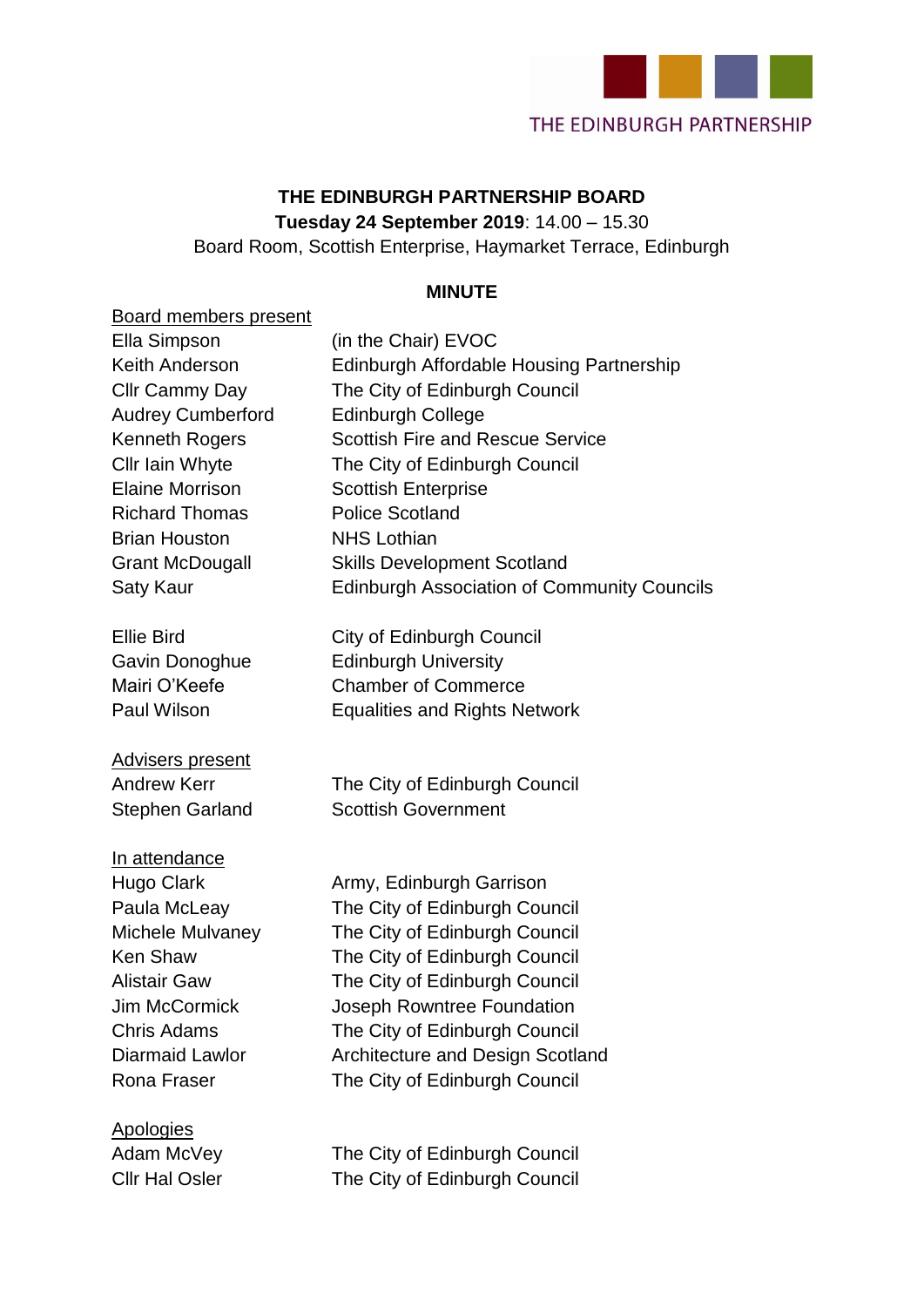

### **THE EDINBURGH PARTNERSHIP BOARD Tuesday 24 September 2019**: 14.00 – 15.30

Board Room, Scottish Enterprise, Haymarket Terrace, Edinburgh

#### **MINUTE**

| <b>Board members present</b><br>Ella Simpson<br>Keith Anderson<br>Cllr Cammy Day<br><b>Audrey Cumberford</b><br><b>Kenneth Rogers</b><br>Cllr Iain Whyte<br>Elaine Morrison<br><b>Richard Thomas</b><br><b>Brian Houston</b><br><b>Grant McDougall</b><br>Saty Kaur | (in the Chair) EVOC<br>Edinburgh Affordable Housing Partnership<br>The City of Edinburgh Council<br><b>Edinburgh College</b><br><b>Scottish Fire and Rescue Service</b><br>The City of Edinburgh Council<br><b>Scottish Enterprise</b><br><b>Police Scotland</b><br><b>NHS Lothian</b><br><b>Skills Development Scotland</b><br><b>Edinburgh Association of Community Councils</b> |
|---------------------------------------------------------------------------------------------------------------------------------------------------------------------------------------------------------------------------------------------------------------------|------------------------------------------------------------------------------------------------------------------------------------------------------------------------------------------------------------------------------------------------------------------------------------------------------------------------------------------------------------------------------------|
| <b>Ellie Bird</b><br>Gavin Donoghue<br>Mairi O'Keefe<br>Paul Wilson                                                                                                                                                                                                 | City of Edinburgh Council<br><b>Edinburgh University</b><br><b>Chamber of Commerce</b><br><b>Equalities and Rights Network</b>                                                                                                                                                                                                                                                     |
| <b>Advisers present</b><br><b>Andrew Kerr</b><br><b>Stephen Garland</b>                                                                                                                                                                                             | The City of Edinburgh Council<br><b>Scottish Government</b>                                                                                                                                                                                                                                                                                                                        |
| In attendance<br>Hugo Clark<br>Paula McLeay<br>Michele Mulvaney<br><b>Ken Shaw</b><br><b>Alistair Gaw</b><br>Jim McCormick<br><b>Chris Adams</b><br><b>Diarmaid Lawlor</b><br>Rona Fraser                                                                           | Army, Edinburgh Garrison<br>The City of Edinburgh Council<br>The City of Edinburgh Council<br>The City of Edinburgh Council<br>The City of Edinburgh Council<br>Joseph Rowntree Foundation<br>The City of Edinburgh Council<br>Architecture and Design Scotland<br>The City of Edinburgh Council                                                                                   |
| Apologies                                                                                                                                                                                                                                                           |                                                                                                                                                                                                                                                                                                                                                                                    |

Adam McVey The City of Edinburgh Council Cllr Hal Osler The City of Edinburgh Council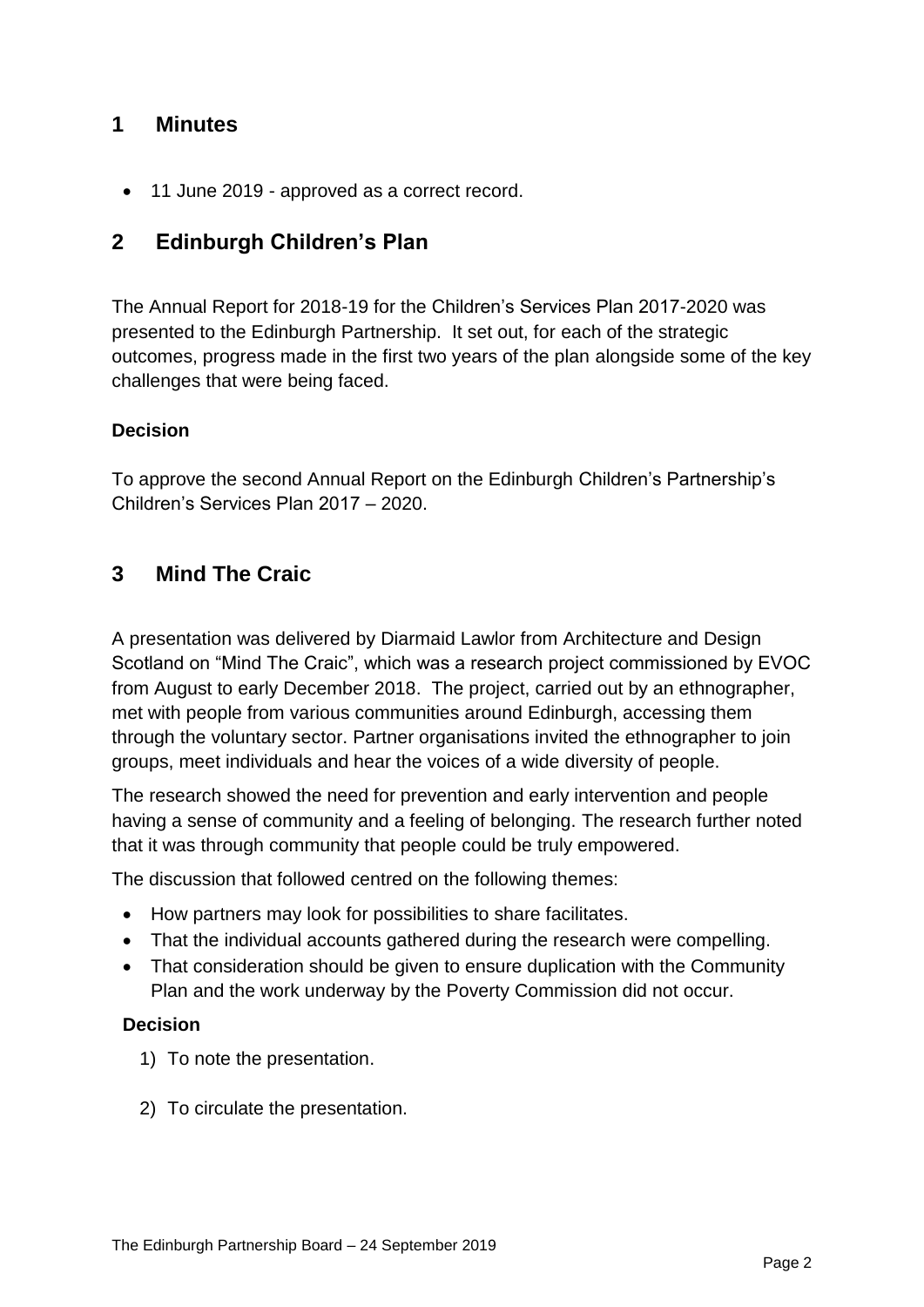### **1 Minutes**

• 11 June 2019 - approved as a correct record.

## **2 Edinburgh Children's Plan**

The Annual Report for 2018-19 for the Children's Services Plan 2017-2020 was presented to the Edinburgh Partnership. It set out, for each of the strategic outcomes, progress made in the first two years of the plan alongside some of the key challenges that were being faced.

#### **Decision**

To approve the second Annual Report on the Edinburgh Children's Partnership's Children's Services Plan 2017 – 2020.

### **3 Mind The Craic**

A presentation was delivered by Diarmaid Lawlor from Architecture and Design Scotland on "Mind The Craic", which was a research project commissioned by EVOC from August to early December 2018. The project, carried out by an ethnographer, met with people from various communities around Edinburgh, accessing them through the voluntary sector. Partner organisations invited the ethnographer to join groups, meet individuals and hear the voices of a wide diversity of people.

The research showed the need for prevention and early intervention and people having a sense of community and a feeling of belonging. The research further noted that it was through community that people could be truly empowered.

The discussion that followed centred on the following themes:

- How partners may look for possibilities to share facilitates.
- That the individual accounts gathered during the research were compelling.
- That consideration should be given to ensure duplication with the Community Plan and the work underway by the Poverty Commission did not occur.

- 1) To note the presentation.
- 2) To circulate the presentation.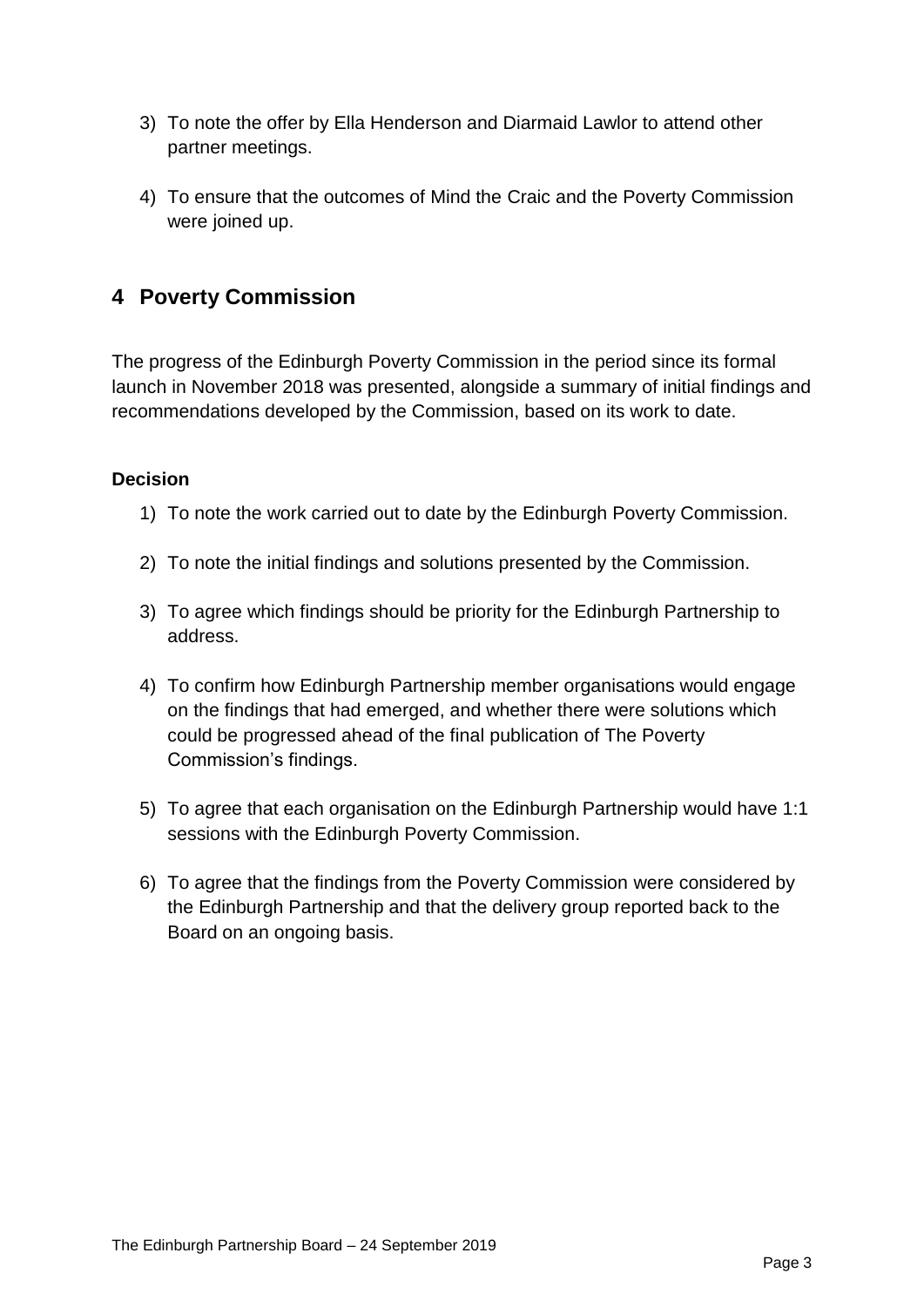- 3) To note the offer by Ella Henderson and Diarmaid Lawlor to attend other partner meetings.
- 4) To ensure that the outcomes of Mind the Craic and the Poverty Commission were joined up.

## **4 Poverty Commission**

The progress of the Edinburgh Poverty Commission in the period since its formal launch in November 2018 was presented, alongside a summary of initial findings and recommendations developed by the Commission, based on its work to date.

- 1) To note the work carried out to date by the Edinburgh Poverty Commission.
- 2) To note the initial findings and solutions presented by the Commission.
- 3) To agree which findings should be priority for the Edinburgh Partnership to address.
- 4) To confirm how Edinburgh Partnership member organisations would engage on the findings that had emerged, and whether there were solutions which could be progressed ahead of the final publication of The Poverty Commission's findings.
- 5) To agree that each organisation on the Edinburgh Partnership would have 1:1 sessions with the Edinburgh Poverty Commission.
- 6) To agree that the findings from the Poverty Commission were considered by the Edinburgh Partnership and that the delivery group reported back to the Board on an ongoing basis.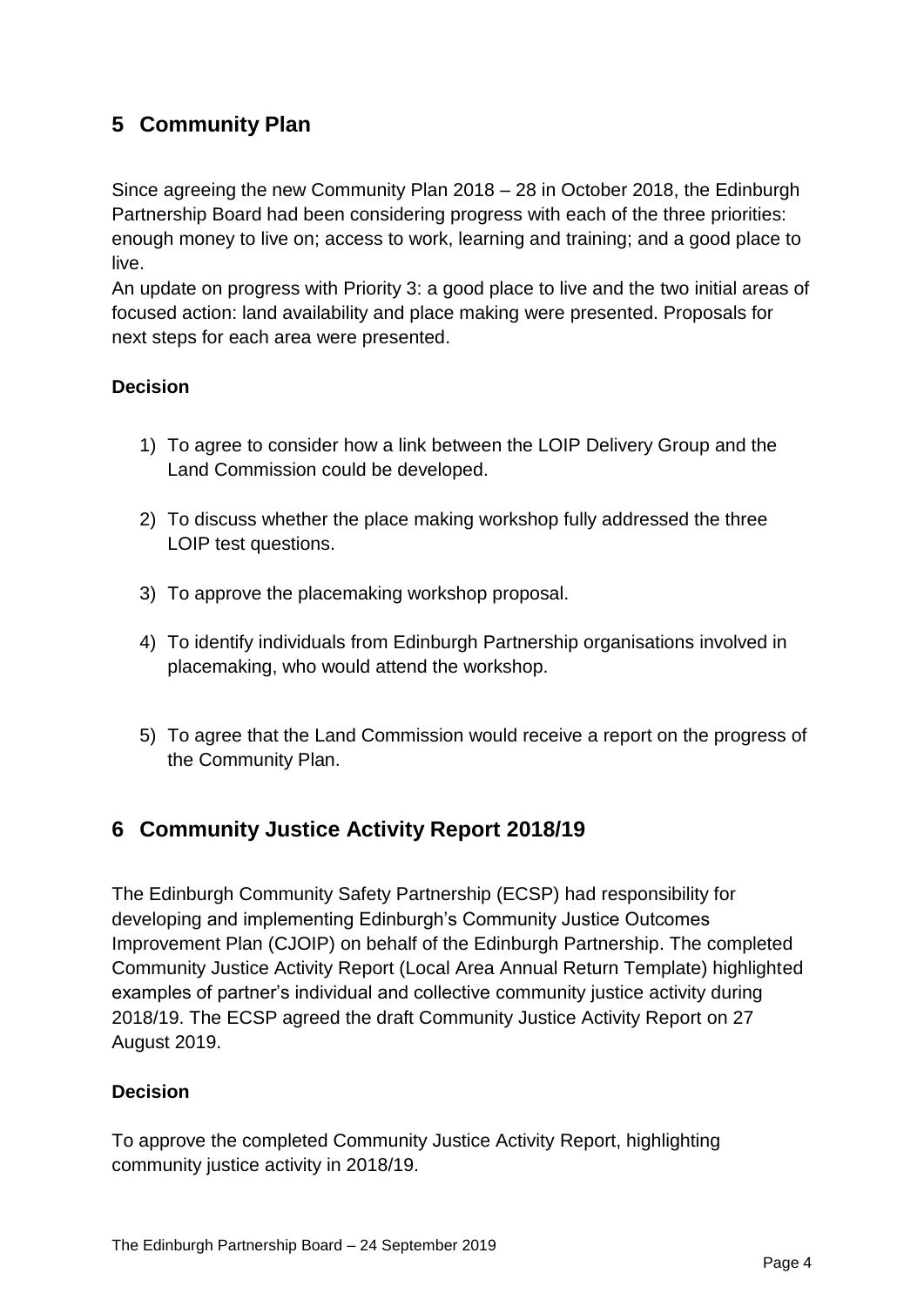## **5 Community Plan**

Since agreeing the new Community Plan 2018 – 28 in October 2018, the Edinburgh Partnership Board had been considering progress with each of the three priorities: enough money to live on; access to work, learning and training; and a good place to live.

An update on progress with Priority 3: a good place to live and the two initial areas of focused action: land availability and place making were presented. Proposals for next steps for each area were presented.

#### **Decision**

- 1) To agree to consider how a link between the LOIP Delivery Group and the Land Commission could be developed.
- 2) To discuss whether the place making workshop fully addressed the three LOIP test questions.
- 3) To approve the placemaking workshop proposal.
- 4) To identify individuals from Edinburgh Partnership organisations involved in placemaking, who would attend the workshop.
- 5) To agree that the Land Commission would receive a report on the progress of the Community Plan.

## **6 Community Justice Activity Report 2018/19**

The Edinburgh Community Safety Partnership (ECSP) had responsibility for developing and implementing Edinburgh's Community Justice Outcomes Improvement Plan (CJOIP) on behalf of the Edinburgh Partnership. The completed Community Justice Activity Report (Local Area Annual Return Template) highlighted examples of partner's individual and collective community justice activity during 2018/19. The ECSP agreed the draft Community Justice Activity Report on 27 August 2019.

#### **Decision**

To approve the completed Community Justice Activity Report, highlighting community justice activity in 2018/19.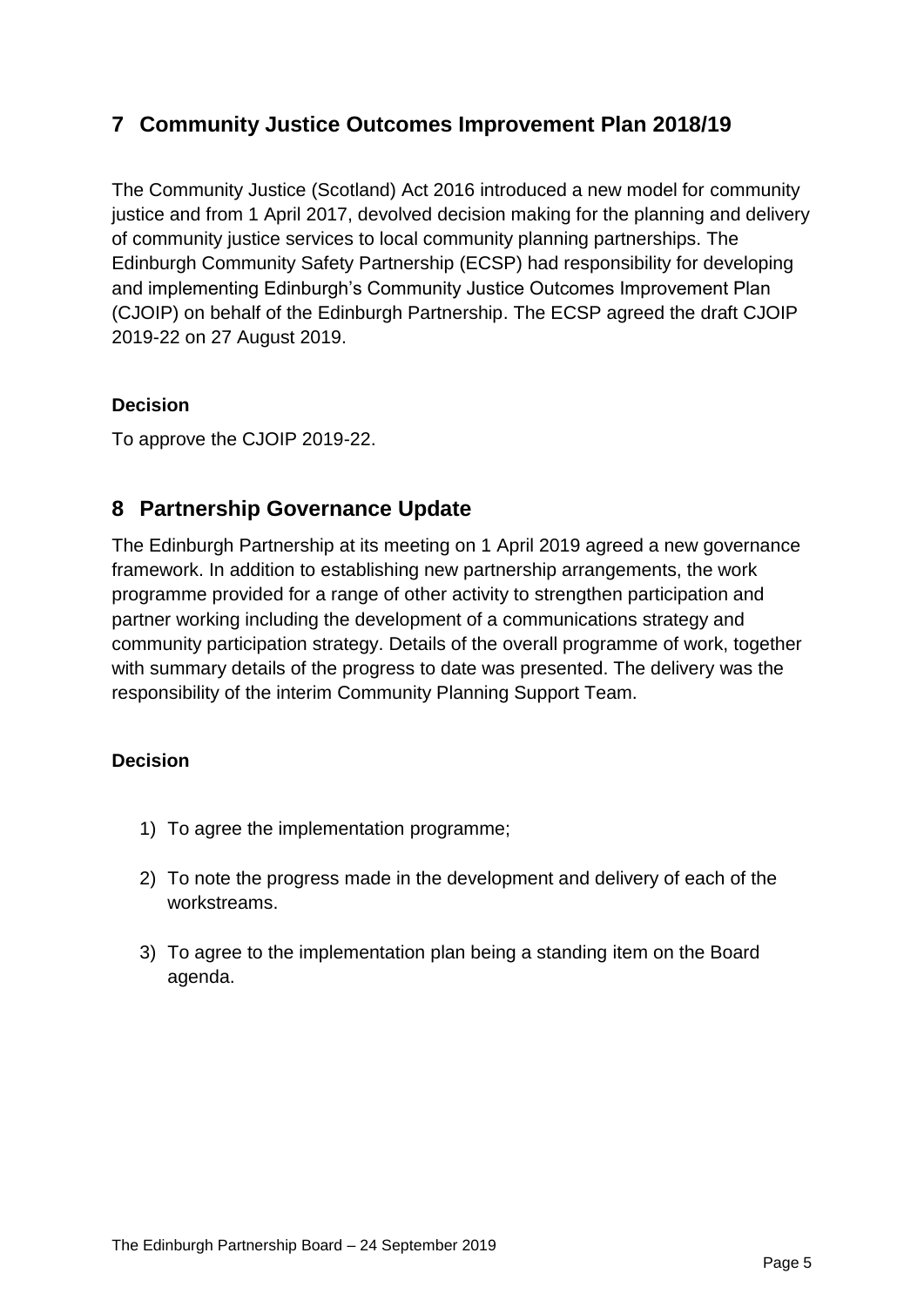## **7 Community Justice Outcomes Improvement Plan 2018/19**

The Community Justice (Scotland) Act 2016 introduced a new model for community justice and from 1 April 2017, devolved decision making for the planning and delivery of community justice services to local community planning partnerships. The Edinburgh Community Safety Partnership (ECSP) had responsibility for developing and implementing Edinburgh's Community Justice Outcomes Improvement Plan (CJOIP) on behalf of the Edinburgh Partnership. The ECSP agreed the draft CJOIP 2019-22 on 27 August 2019.

#### **Decision**

To approve the CJOIP 2019-22.

## **8 Partnership Governance Update**

The Edinburgh Partnership at its meeting on 1 April 2019 agreed a new governance framework. In addition to establishing new partnership arrangements, the work programme provided for a range of other activity to strengthen participation and partner working including the development of a communications strategy and community participation strategy. Details of the overall programme of work, together with summary details of the progress to date was presented. The delivery was the responsibility of the interim Community Planning Support Team.

- 1) To agree the implementation programme;
- 2) To note the progress made in the development and delivery of each of the workstreams.
- 3) To agree to the implementation plan being a standing item on the Board agenda.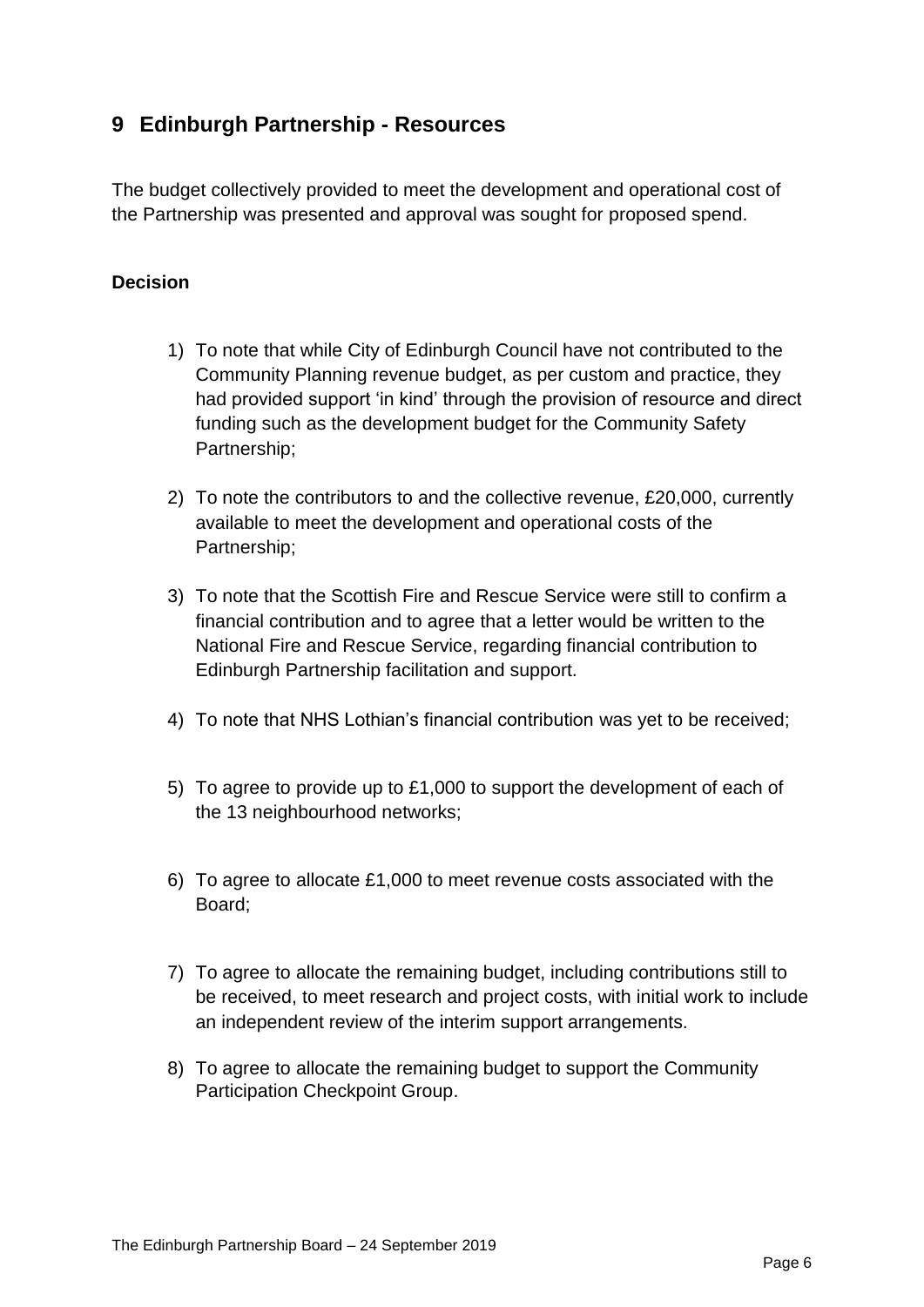## **9 Edinburgh Partnership - Resources**

The budget collectively provided to meet the development and operational cost of the Partnership was presented and approval was sought for proposed spend.

- 1) To note that while City of Edinburgh Council have not contributed to the Community Planning revenue budget, as per custom and practice, they had provided support 'in kind' through the provision of resource and direct funding such as the development budget for the Community Safety Partnership;
- 2) To note the contributors to and the collective revenue, £20,000, currently available to meet the development and operational costs of the Partnership;
- 3) To note that the Scottish Fire and Rescue Service were still to confirm a financial contribution and to agree that a letter would be written to the National Fire and Rescue Service, regarding financial contribution to Edinburgh Partnership facilitation and support.
- 4) To note that NHS Lothian's financial contribution was yet to be received;
- 5) To agree to provide up to £1,000 to support the development of each of the 13 neighbourhood networks;
- 6) To agree to allocate £1,000 to meet revenue costs associated with the Board;
- 7) To agree to allocate the remaining budget, including contributions still to be received, to meet research and project costs, with initial work to include an independent review of the interim support arrangements.
- 8) To agree to allocate the remaining budget to support the Community Participation Checkpoint Group.